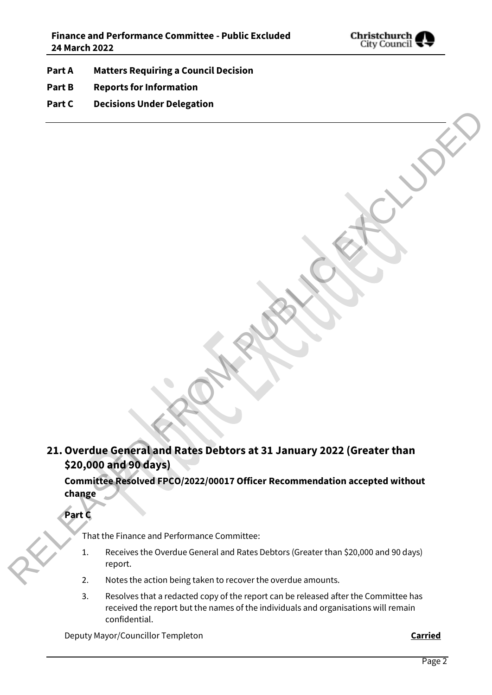

- **Part A Matters Requiring a Council Decision**
- **Part B Reports for Information**
- **Part C Decisions Under Delegation**

## **21.Overdue General and Rates Debtors at 31 January 2022 (Greater than \$20,000 and 90 days)** 21. Overdue General and Rates Debtors at 31 January 2022 (Greater than<br>
220,000 and 99 days)<br>
committee risacre of PCO/2022/00017 Officer Recommendation accepted without<br>
change<br>
That the risacre and Performance Committee:

**Committee Resolved FPCO/2022/00017 Officer Recommendation accepted without change**

**Part C**

That the Finance and Performance Committee:

- 1. Receives the Overdue General and Rates Debtors (Greater than \$20,000 and 90 days) report.
- 2. Notes the action being taken to recover the overdue amounts.
- 3. Resolves that a redacted copy of the report can be released after the Committee has received the report but the names of the individuals and organisations will remain confidential.

Deputy Mayor/Councillor Templeton **Carried**